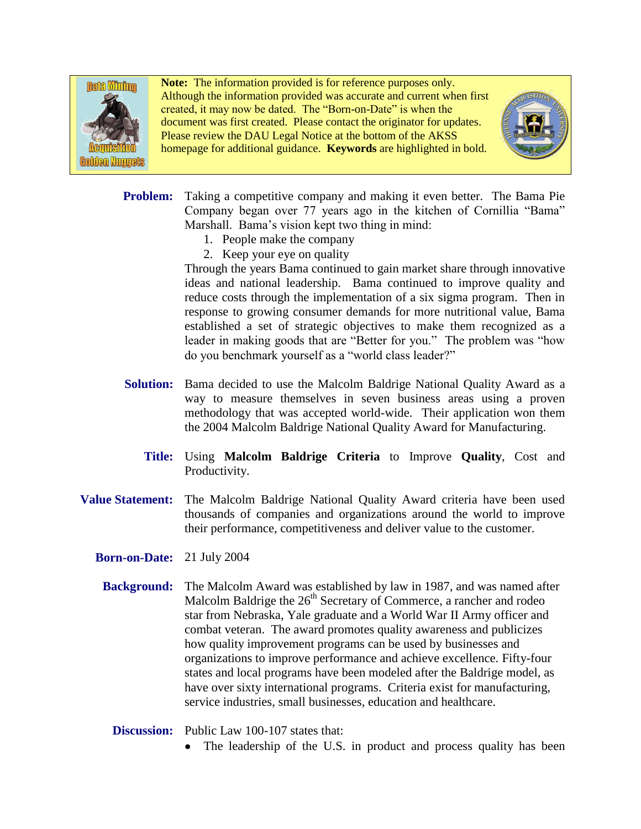

**Note:** The information provided is for reference purposes only. Although the information provided was accurate and current when first created, it may now be dated. The "Born-on-Date" is when the document was first created. Please contact the originator for updates. Please review the DAU Legal Notice at the bottom of the AKSS homepage for additional guidance. **Keywords** are highlighted in bold.



- Problem: Taking a competitive company and making it even better. The Bama Pie Company began over 77 years ago in the kitchen of Cornillia "Bama" Marshall. Bama's vision kept two thing in mind:
	- 1. People make the company
	- 2. Keep your eye on quality

Through the years Bama continued to gain market share through innovative ideas and national leadership. Bama continued to improve quality and reduce costs through the implementation of a six sigma program. Then in response to growing consumer demands for more nutritional value, Bama established a set of strategic objectives to make them recognized as a leader in making goods that are "Better for you." The problem was "how do you benchmark yourself as a "world class leader?"

- Solution: Bama decided to use the Malcolm Baldrige National Quality Award as a way to measure themselves in seven business areas using a proven methodology that was accepted world-wide. Their application won them the 2004 Malcolm Baldrige National Quality Award for Manufacturing.
	- **Title:** Using **Malcolm Baldrige Criteria** to Improve **Quality**, Cost and Productivity.
- **Value Statement:** The Malcolm Baldrige National Quality Award criteria have been used thousands of companies and organizations around the world to improve their performance, competitiveness and deliver value to the customer.
	- **Born-on-Date:** 21 July 2004
		- **Background:** The Malcolm Award was established by law in 1987, and was named after Malcolm Baldrige the  $26<sup>th</sup>$  Secretary of Commerce, a rancher and rodeo star from Nebraska, Yale graduate and a World War II Army officer and combat veteran. The award promotes quality awareness and publicizes how quality improvement programs can be used by businesses and organizations to improve performance and achieve excellence. Fifty-four states and local programs have been modeled after the Baldrige model, as have over sixty international programs. Criteria exist for manufacturing, service industries, small businesses, education and healthcare.

**Discussion:** Public Law 100-107 states that:

• The leadership of the U.S. in product and process quality has been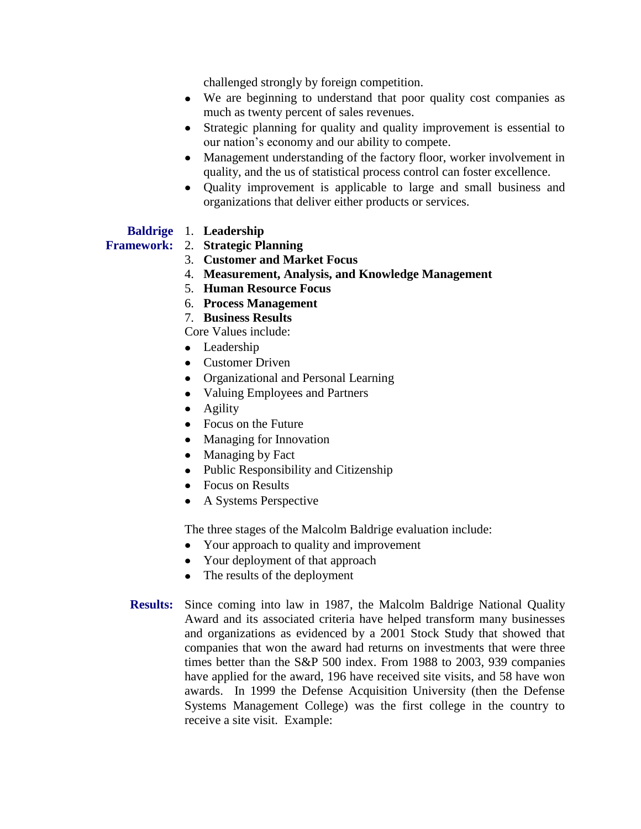challenged strongly by foreign competition.

- We are beginning to understand that poor quality cost companies as much as twenty percent of sales revenues.
- Strategic planning for quality and quality improvement is essential to  $\bullet$ our nation's economy and our ability to compete.
- Management understanding of the factory floor, worker involvement in  $\bullet$ quality, and the us of statistical process control can foster excellence.
- Quality improvement is applicable to large and small business and organizations that deliver either products or services.

## **Baldrige** 1. **Leadership**

**Framework:**  2. **Strategic Planning**

- 3. **Customer and Market Focus**
- 4. **Measurement, Analysis, and Knowledge Management**
- 5. **Human Resource Focus**
- 6. **Process Management**
- 7. **Business Results**

Core Values include:

- Leadership
- Customer Driven
- Organizational and Personal Learning
- Valuing Employees and Partners
- Agility
- Focus on the Future
- Managing for Innovation
- Managing by Fact
- Public Responsibility and Citizenship
- Focus on Results
- A Systems Perspective

The three stages of the Malcolm Baldrige evaluation include:

- Your approach to quality and improvement
- Your deployment of that approach
- The results of the deployment
- **Results:** Since coming into law in 1987, the Malcolm Baldrige National Quality Award and its associated criteria have helped transform many businesses and organizations as evidenced by a 2001 Stock Study that showed that companies that won the award had returns on investments that were three times better than the S&P 500 index. From 1988 to 2003, 939 companies have applied for the award, 196 have received site visits, and 58 have won awards. In 1999 the Defense Acquisition University (then the Defense Systems Management College) was the first college in the country to receive a site visit. Example: